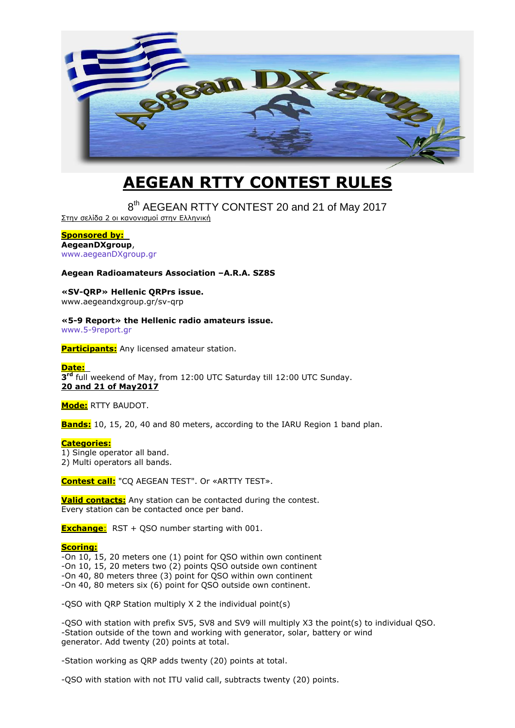

# **AEGEAN RTTY CONTEST RULES**

8<sup>th</sup> AEGEAN RTTY CONTEST 20 and 21 of May 2017

Στην σελίδα 2 οι κανονισμοί στην Ελληνική

#### **Sponsored by:**

**AegeanDXgroup**, [www.aegeanDXgroup.gr](http://www.aegeandxgroup.gr/)

#### **Aegean Radioamateurs Association –A.R.A. SZ8S**

**«SV-QRP» Hellenic QRPrs issue.** www.aegeandxgroup.gr/sv-qrp

# **«5-9 Report» the Hellenic radio amateurs issue.**

[www.5-9report.gr](http://www.5-9report.gr/)

**Participants:** Any licensed amateur station.

### **Date:**

3<sup>rd</sup> full weekend of May, from 12:00 UTC Saturday till 12:00 UTC Sunday. **20 and 21 of May2017**

#### **Mode:** RTTY BAUDOT.

**Bands:** 10, 15, 20, 40 and 80 meters, according to the IARU Region 1 band plan.

#### **Categories:**

1) Single operator all band.

2) Multi operators all bands.

**Contest call:** "CQ AEGEAN TEST". Or «ARTTY TEST».

**Valid contacts:** Any station can be contacted during the contest. Every station can be contacted once per band.

**Exchange:** RST + QSO number starting with 001.

#### **Scoring:**

-On 10, 15, 20 meters one (1) point for QSO within own continent

-On 10, 15, 20 meters two (2) points QSO outside own continent

-On 40, 80 meters three (3) point for QSO within own continent

-On 40, 80 meters six (6) point for QSO outside own continent.

-QSO with QRP Station multiply X 2 the individual point(s)

-QSO with station with prefix SV5, SV8 and SV9 will multiply X3 the point(s) to individual QSO. -Station outside of the town and working with generator, solar, battery or wind generator. Add twenty (20) points at total.

-Station working as QRP adds twenty (20) points at total.

-QSO with station with not ITU valid call, subtracts twenty (20) points.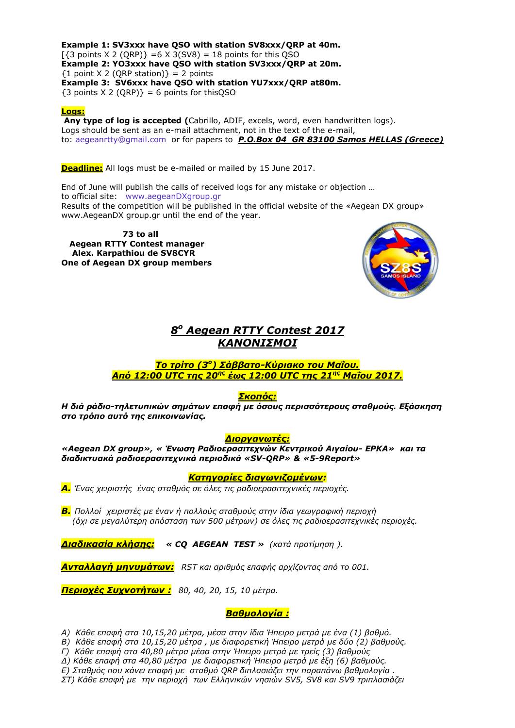**Example 1: SV3xxx have QSO with station SV8xxx/QRP at 40m.**  $\left[\frac{3}{3}\right]$  points X 2 (QRP)} = 6 X 3(SV8) = 18 points for this QSO **Example 2: YO3xxx have QSO with station SV3xxx/QRP at 20m.**  ${1 point X 2 (QRP station)} = 2 points$ **Example 3: SV6xxx have QSO with station YU7xxx/QRP at80m.**  $\{3 \text{ points } X \text{ } 2 \text{ } (\text{ORP})\} = 6 \text{ points for this QSO}$ 

#### **Logs:**

**Any type of log is accepted (**Cabrillo, ADIF, excels, word, even handwritten logs). Logs should be sent as an e-mail attachment, not in the text of the e-mail, to: [aegeanrtty@gmail.com](mailto:aegeanrtty@gmail.com) or for papers to *P.O.Box 04 GR 83100 Samos HELLAS (Greece)*

**Deadline:** All logs must be e-mailed or mailed by 15 June 2017.

End of June will publish the calls of received logs for any mistake or objection … to official site: [www.aegeanDXgroup.gr](http://www.aegeandxgroup.gr/) Results of the competition will be published in the official website of the «Aegean DX group» www.AegeanDX group.gr until the end of the year.

 **73 to all Aegean RTTY Contest manager Alex. Karpathiou de SV8CYR One of Aegean DX group members**



## *8 <sup>ν</sup> Aegean RTTY Contest 2017* **ΚΑΝΟΝΙΣΜΟΙ**

#### <mark>Το τρίτο (3º) Σάββατο-Κύριακο του Μαΐου.</mark> *Από 12:00 UTC ηεο 20εο έωο 12:00 UTC ηεο 21εο Μαΐνπ 2017.*

#### *θνπόο:*

*Η διά ράδιο-τηλετυπικών σημάτων επαφή με όσους περισσότερους σταθμούς. Εξάσκηση ζην ηξόπν απηό ηεο επηθνηλωλίαο.*

#### **Διοργανωτές:**

*«Aegean DX group», « Έλωζε Ραδηνεξαζηηερλώλ Κεληξηθνύ Αηγαίνπ- ΔΡΚΑ» θαη ηα δηαδηθηπαθά ξαδηνεξαζηηερληθά πεξηνδηθά «SV-QRP» & «5-9Report»*

#### *Καηεγνξίεο δηαγωληδνκέλωλ:*

*Α. Έλαο ρεηξηζηήο έλαο ζηαζκόο ζε όιεο ηηο ξαδηνεξαζηηερληθέο πεξηνρέο.*

*Β. Πνιινί ρεηξηζηέο κε έλαλ ή πνιινύο ζηαζκνύο ζηελ ίδηα γεσγξαθηθή πεξηνρή (όρη ζε κεγαιύηεξε απόζηαζε ησλ 500 κέηξσλ) ζε όιεο ηηο ξαδηνεξαζηηερληθέο πεξηνρέο.*

**Διαδικασία κλήσης: « CQ AEGEAN TEST** » (κατά προτίμηση ).

*Αληαιιαγή κελπκάηωλ: RST θαη αξηζκόο επαθήο αξρίδνληαο από ην 001.*

*Πεξηνρέο πρλνηήηωλ : 80, 40, 20, 15, 10 κέηξα.*

#### **Βαθμολογία :**

*Α) Θάζε επαθή ζηα 10,15,20 κέηξα, κέζα ζηελ ίδηα Ήπεηξν κεηξά κε έλα (1) βαζκό.*

*Β) Θάζε επαθή ζηα 10,15,20 κέηξα , κε δηαθνξεηηθή Ήπεηξν κεηξά κε δύν (2) βαζκνύο.*

*Γ) Θάζε επαθή ζηα 40,80 κέηξα κέζα ζηελ Ήπεηξν κεηξά κε ηξείο (3) βαζκνύο*

*Γ) Θάζε επαθή ζηα 40,80 κέηξα κε δηαθνξεηηθή Ήπεηξν κεηξά κε έμε (6) βαζκνύο.*

*Δ) Σηαζκόο πνπ θάλεη επαθή κε ζηαζκό QRP δηπιαζηάδεη ηελ παξαπάλσ βαζκνινγία .*

*ΣΤ) Θάζε επαθή κε ηελ πεξηνρή ησλ Διιεληθώλ λεζηώλ SV5, SV8 θαη SV9 ηξηπιαζηάδεη*